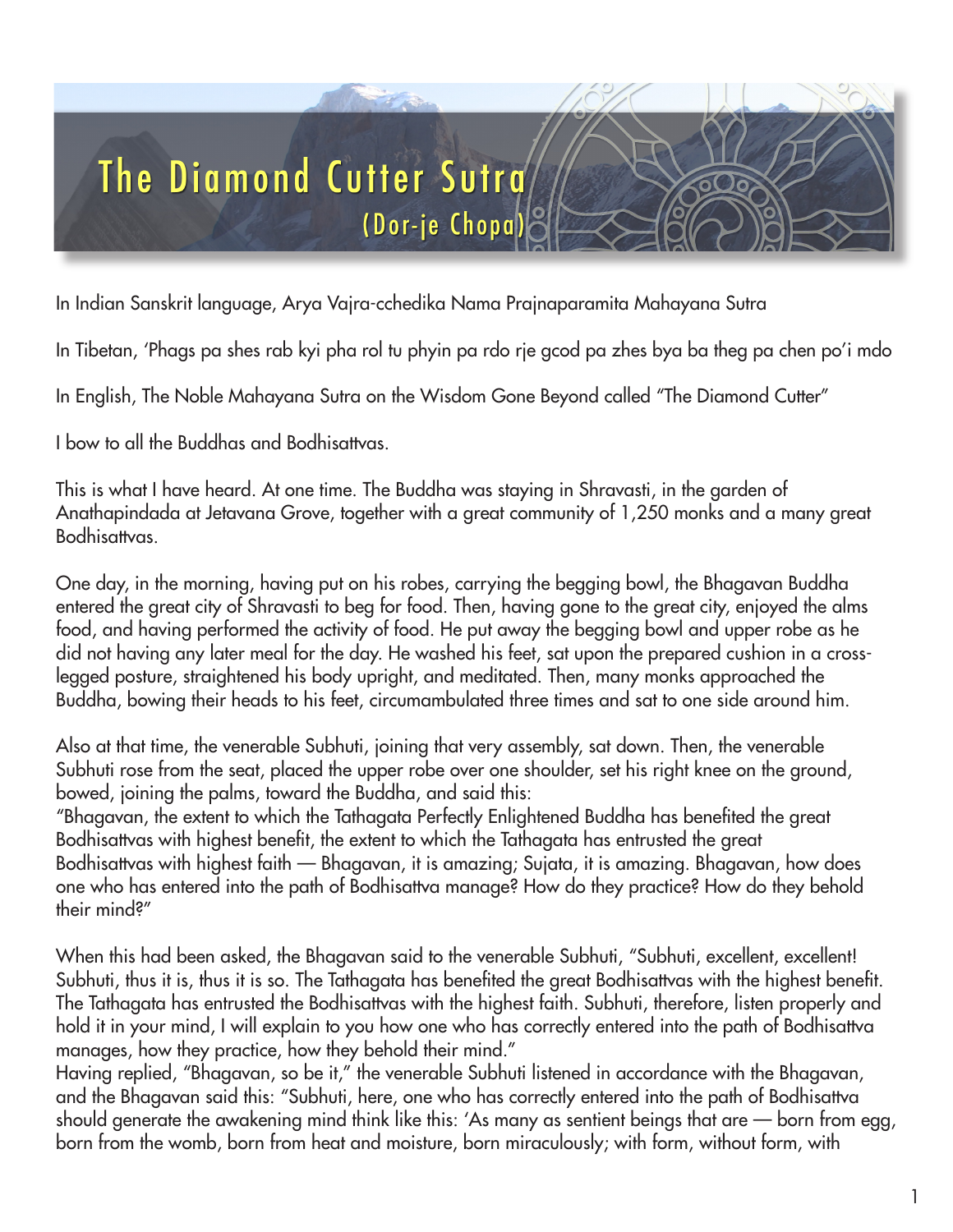

In Indian Sanskrit language, Arya Vajra-cchedika Nama Prajnaparamita Mahayana Sutra

In Tibetan, 'Phags pa shes rab kyi pha rol tu phyin pa rdo rje gcod pa zhes bya ba theg pa chen po'i mdo

In English, The Noble Mahayana Sutra on the Wisdom Gone Beyond called "The Diamond Cutter"

I bow to all the Buddhas and Bodhisattvas.

This is what I have heard. At one time. The Buddha was staying in Shravasti, in the garden of Anathapindada at Jetavana Grove, together with a great community of 1,250 monks and a many great Bodhisattvas.

One day, in the morning, having put on his robes, carrying the begging bowl, the Bhagavan Buddha entered the great city of Shravasti to beg for food. Then, having gone to the great city, enjoyed the alms food, and having performed the activity of food. He put away the begging bowl and upper robe as he did not having any later meal for the day. He washed his feet, sat upon the prepared cushion in a crosslegged posture, straightened his body upright, and meditated. Then, many monks approached the Buddha, bowing their heads to his feet, circumambulated three times and sat to one side around him.

Also at that time, the venerable Subhuti, joining that very assembly, sat down. Then, the venerable Subhuti rose from the seat, placed the upper robe over one shoulder, set his right knee on the ground, bowed, joining the palms, toward the Buddha, and said this:

"Bhagavan, the extent to which the Tathagata Perfectly Enlightened Buddha has benefited the great Bodhisattvas with highest benefit, the extent to which the Tathagata has entrusted the great Bodhisattvas with highest faith — Bhagavan, it is amazing; Sujata, it is amazing. Bhagavan, how does one who has entered into the path of Bodhisattva manage? How do they practice? How do they behold their mind?"

When this had been asked, the Bhagavan said to the venerable Subhuti, "Subhuti, excellent, excellent! Subhuti, thus it is, thus it is so. The Tathagata has benefited the great Bodhisattvas with the highest benefit. The Tathagata has entrusted the Bodhisattvas with the highest faith. Subhuti, therefore, listen properly and hold it in your mind, I will explain to you how one who has correctly entered into the path of Bodhisattva manages, how they practice, how they behold their mind."

Having replied, "Bhagavan, so be it," the venerable Subhuti listened in accordance with the Bhagavan, and the Bhagavan said this: "Subhuti, here, one who has correctly entered into the path of Bodhisattva should generate the awakening mind think like this: 'As many as sentient beings that are — born from egg, born from the womb, born from heat and moisture, born miraculously; with form, without form, with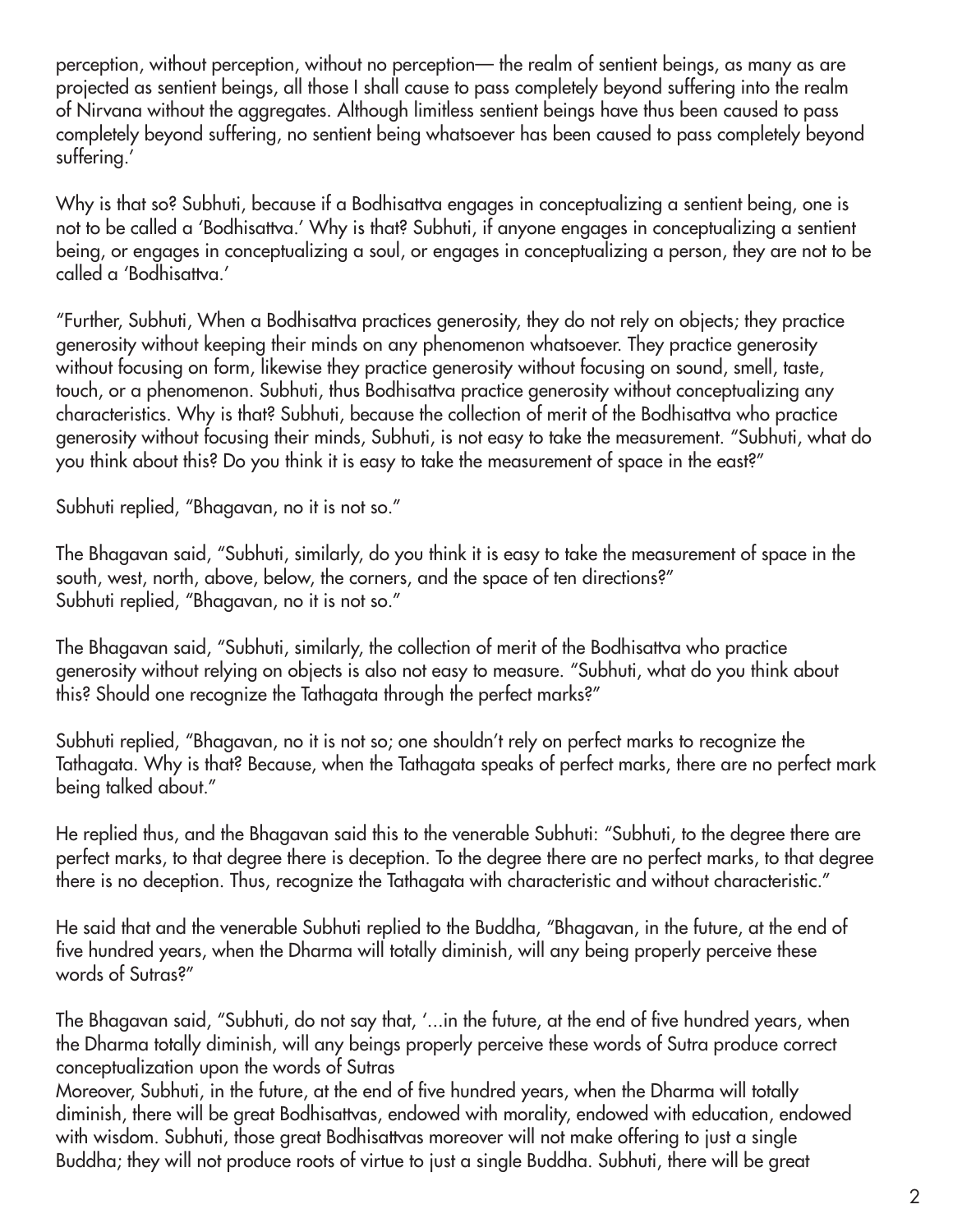perception, without perception, without no perception— the realm of sentient beings, as many as are projected as sentient beings, all those I shall cause to pass completely beyond suffering into the realm of Nirvana without the aggregates. Although limitless sentient beings have thus been caused to pass completely beyond suffering, no sentient being whatsoever has been caused to pass completely beyond suffering.'

Why is that so? Subhuti, because if a Bodhisattva engages in conceptualizing a sentient being, one is not to be called a 'Bodhisattva.' Why is that? Subhuti, if anyone engages in conceptualizing a sentient being, or engages in conceptualizing a soul, or engages in conceptualizing a person, they are not to be called a 'Bodhisattva.'

"Further, Subhuti, When a Bodhisattva practices generosity, they do not rely on objects; they practice generosity without keeping their minds on any phenomenon whatsoever. They practice generosity without focusing on form, likewise they practice generosity without focusing on sound, smell, taste, touch, or a phenomenon. Subhuti, thus Bodhisattva practice generosity without conceptualizing any characteristics. Why is that? Subhuti, because the collection of merit of the Bodhisattva who practice generosity without focusing their minds, Subhuti, is not easy to take the measurement. "Subhuti, what do you think about this? Do you think it is easy to take the measurement of space in the east?"

Subhuti replied, "Bhagavan, no it is not so."

The Bhagavan said, "Subhuti, similarly, do you think it is easy to take the measurement of space in the south, west, north, above, below, the corners, and the space of ten directions?" Subhuti replied, "Bhagavan, no it is not so."

The Bhagavan said, "Subhuti, similarly, the collection of merit of the Bodhisattva who practice generosity without relying on objects is also not easy to measure. "Subhuti, what do you think about this? Should one recognize the Tathagata through the perfect marks?"

Subhuti replied, "Bhagavan, no it is not so; one shouldn't rely on perfect marks to recognize the Tathagata. Why is that? Because, when the Tathagata speaks of perfect marks, there are no perfect mark being talked about."

He replied thus, and the Bhagavan said this to the venerable Subhuti: "Subhuti, to the degree there are perfect marks, to that degree there is deception. To the degree there are no perfect marks, to that degree there is no deception. Thus, recognize the Tathagata with characteristic and without characteristic."

He said that and the venerable Subhuti replied to the Buddha, "Bhagavan, in the future, at the end of five hundred years, when the Dharma will totally diminish, will any being properly perceive these words of Sutras?"

The Bhagavan said, "Subhuti, do not say that, '...in the future, at the end of five hundred years, when the Dharma totally diminish, will any beings properly perceive these words of Sutra produce correct conceptualization upon the words of Sutras

Moreover, Subhuti, in the future, at the end of five hundred years, when the Dharma will totally diminish, there will be great Bodhisattvas, endowed with morality, endowed with education, endowed with wisdom. Subhuti, those great Bodhisattvas moreover will not make offering to just a single Buddha; they will not produce roots of virtue to just a single Buddha. Subhuti, there will be great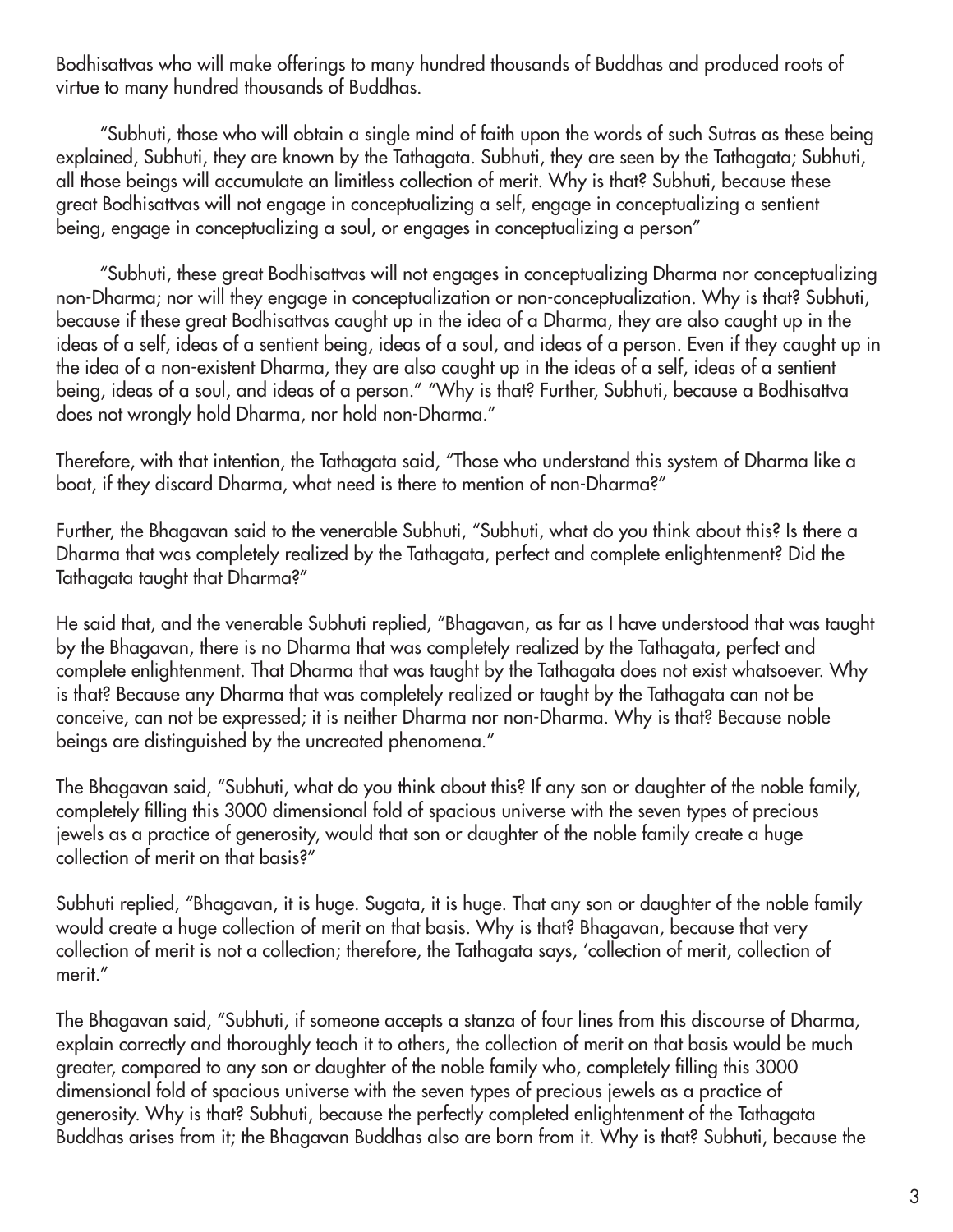Bodhisattvas who will make offerings to many hundred thousands of Buddhas and produced roots of virtue to many hundred thousands of Buddhas.

 "Subhuti, those who will obtain a single mind of faith upon the words of such Sutras as these being explained, Subhuti, they are known by the Tathagata. Subhuti, they are seen by the Tathagata; Subhuti, all those beings will accumulate an limitless collection of merit. Why is that? Subhuti, because these great Bodhisattvas will not engage in conceptualizing a self, engage in conceptualizing a sentient being, engage in conceptualizing a soul, or engages in conceptualizing a person"

 "Subhuti, these great Bodhisattvas will not engages in conceptualizing Dharma nor conceptualizing non-Dharma; nor will they engage in conceptualization or non-conceptualization. Why is that? Subhuti, because if these great Bodhisattvas caught up in the idea of a Dharma, they are also caught up in the ideas of a self, ideas of a sentient being, ideas of a soul, and ideas of a person. Even if they caught up in the idea of a non-existent Dharma, they are also caught up in the ideas of a self, ideas of a sentient being, ideas of a soul, and ideas of a person." "Why is that? Further, Subhuti, because a Bodhisattva does not wrongly hold Dharma, nor hold non-Dharma."

Therefore, with that intention, the Tathagata said, "Those who understand this system of Dharma like a boat, if they discard Dharma, what need is there to mention of non-Dharma?"

Further, the Bhagavan said to the venerable Subhuti, "Subhuti, what do you think about this? Is there a Dharma that was completely realized by the Tathagata, perfect and complete enlightenment? Did the Tathagata taught that Dharma?"

He said that, and the venerable Subhuti replied, "Bhagavan, as far as I have understood that was taught by the Bhagavan, there is no Dharma that was completely realized by the Tathagata, perfect and complete enlightenment. That Dharma that was taught by the Tathagata does not exist whatsoever. Why is that? Because any Dharma that was completely realized or taught by the Tathagata can not be conceive, can not be expressed; it is neither Dharma nor non-Dharma. Why is that? Because noble beings are distinguished by the uncreated phenomena."

The Bhagavan said, "Subhuti, what do you think about this? If any son or daughter of the noble family, completely filling this 3000 dimensional fold of spacious universe with the seven types of precious jewels as a practice of generosity, would that son or daughter of the noble family create a huge collection of merit on that basis?"

Subhuti replied, "Bhagavan, it is huge. Sugata, it is huge. That any son or daughter of the noble family would create a huge collection of merit on that basis. Why is that? Bhagavan, because that very collection of merit is not a collection; therefore, the Tathagata says, 'collection of merit, collection of merit."

The Bhagavan said, "Subhuti, if someone accepts a stanza of four lines from this discourse of Dharma, explain correctly and thoroughly teach it to others, the collection of merit on that basis would be much greater, compared to any son or daughter of the noble family who, completely filling this 3000 dimensional fold of spacious universe with the seven types of precious jewels as a practice of generosity. Why is that? Subhuti, because the perfectly completed enlightenment of the Tathagata Buddhas arises from it; the Bhagavan Buddhas also are born from it. Why is that? Subhuti, because the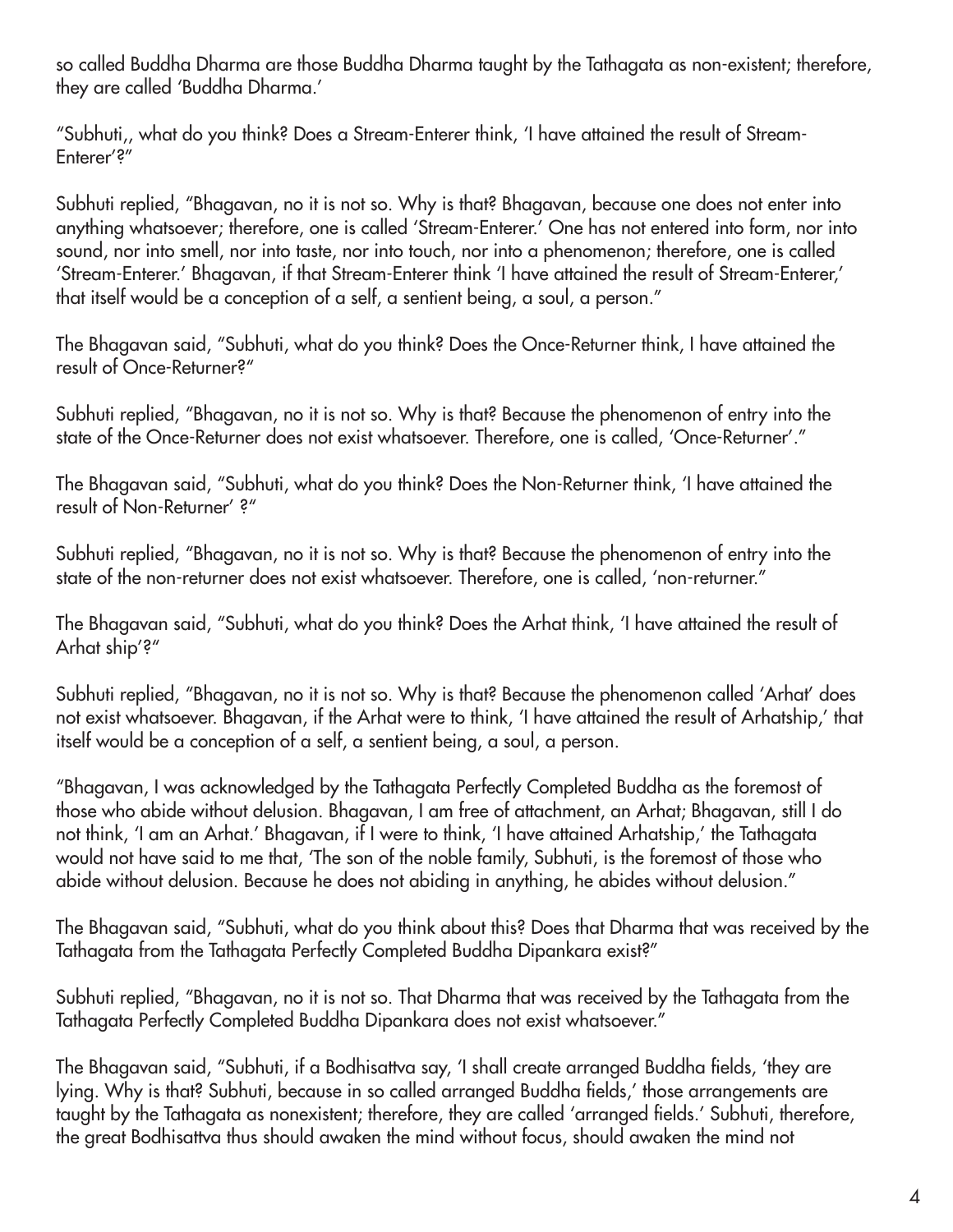so called Buddha Dharma are those Buddha Dharma taught by the Tathagata as non-existent; therefore, they are called 'Buddha Dharma.'

"Subhuti,, what do you think? Does a Stream-Enterer think, 'I have attained the result of Stream-Enterer'?"

Subhuti replied, "Bhagavan, no it is not so. Why is that? Bhagavan, because one does not enter into anything whatsoever; therefore, one is called 'Stream-Enterer.' One has not entered into form, nor into sound, nor into smell, nor into taste, nor into touch, nor into a phenomenon; therefore, one is called 'Stream-Enterer.' Bhagavan, if that Stream-Enterer think 'I have attained the result of Stream-Enterer,' that itself would be a conception of a self, a sentient being, a soul, a person."

The Bhagavan said, "Subhuti, what do you think? Does the Once-Returner think, I have attained the result of Once-Returner?"

Subhuti replied, "Bhagavan, no it is not so. Why is that? Because the phenomenon of entry into the state of the Once-Returner does not exist whatsoever. Therefore, one is called, 'Once-Returner'."

The Bhagavan said, "Subhuti, what do you think? Does the Non-Returner think, 'I have attained the result of Non-Returner' ?"

Subhuti replied, "Bhagavan, no it is not so. Why is that? Because the phenomenon of entry into the state of the non-returner does not exist whatsoever. Therefore, one is called, 'non-returner."

The Bhagavan said, "Subhuti, what do you think? Does the Arhat think, 'I have attained the result of Arhat ship'?"

Subhuti replied, "Bhagavan, no it is not so. Why is that? Because the phenomenon called 'Arhat' does not exist whatsoever. Bhagavan, if the Arhat were to think, 'I have attained the result of Arhatship,' that itself would be a conception of a self, a sentient being, a soul, a person.

"Bhagavan, I was acknowledged by the Tathagata Perfectly Completed Buddha as the foremost of those who abide without delusion. Bhagavan, I am free of attachment, an Arhat; Bhagavan, still I do not think, 'I am an Arhat.' Bhagavan, if I were to think, 'I have attained Arhatship,' the Tathagata would not have said to me that, 'The son of the noble family, Subhuti, is the foremost of those who abide without delusion. Because he does not abiding in anything, he abides without delusion."

The Bhagavan said, "Subhuti, what do you think about this? Does that Dharma that was received by the Tathagata from the Tathagata Perfectly Completed Buddha Dipankara exist?"

Subhuti replied, "Bhagavan, no it is not so. That Dharma that was received by the Tathagata from the Tathagata Perfectly Completed Buddha Dipankara does not exist whatsoever."

The Bhagavan said, "Subhuti, if a Bodhisattva say, 'I shall create arranged Buddha fields, 'they are lying. Why is that? Subhuti, because in so called arranged Buddha fields,' those arrangements are taught by the Tathagata as nonexistent; therefore, they are called 'arranged fields.' Subhuti, therefore, the great Bodhisattva thus should awaken the mind without focus, should awaken the mind not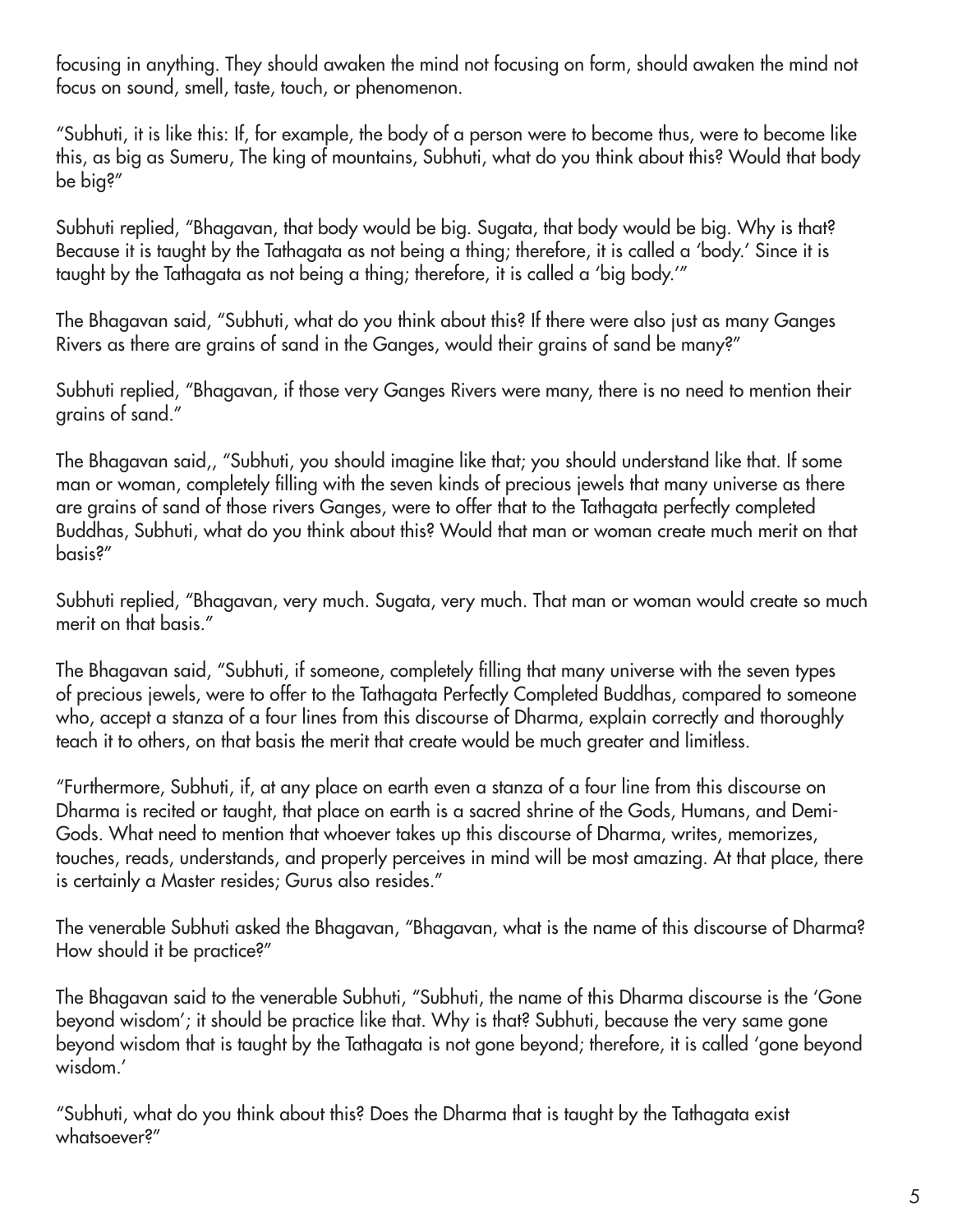focusing in anything. They should awaken the mind not focusing on form, should awaken the mind not focus on sound, smell, taste, touch, or phenomenon.

"Subhuti, it is like this: If, for example, the body of a person were to become thus, were to become like this, as big as Sumeru, The king of mountains, Subhuti, what do you think about this? Would that body be big?"

Subhuti replied, "Bhagavan, that body would be big. Sugata, that body would be big. Why is that? Because it is taught by the Tathagata as not being a thing; therefore, it is called a 'body.' Since it is taught by the Tathagata as not being a thing; therefore, it is called a 'big body.'"

The Bhagavan said, "Subhuti, what do you think about this? If there were also just as many Ganges Rivers as there are grains of sand in the Ganges, would their grains of sand be many?"

Subhuti replied, "Bhagavan, if those very Ganges Rivers were many, there is no need to mention their grains of sand."

The Bhagavan said,, "Subhuti, you should imagine like that; you should understand like that. If some man or woman, completely filling with the seven kinds of precious jewels that many universe as there are grains of sand of those rivers Ganges, were to offer that to the Tathagata perfectly completed Buddhas, Subhuti, what do you think about this? Would that man or woman create much merit on that basis?"

Subhuti replied, "Bhagavan, very much. Sugata, very much. That man or woman would create so much merit on that basis."

The Bhagavan said, "Subhuti, if someone, completely filling that many universe with the seven types of precious jewels, were to offer to the Tathagata Perfectly Completed Buddhas, compared to someone who, accept a stanza of a four lines from this discourse of Dharma, explain correctly and thoroughly teach it to others, on that basis the merit that create would be much greater and limitless.

"Furthermore, Subhuti, if, at any place on earth even a stanza of a four line from this discourse on Dharma is recited or taught, that place on earth is a sacred shrine of the Gods, Humans, and Demi-Gods. What need to mention that whoever takes up this discourse of Dharma, writes, memorizes, touches, reads, understands, and properly perceives in mind will be most amazing. At that place, there is certainly a Master resides; Gurus also resides."

The venerable Subhuti asked the Bhagavan, "Bhagavan, what is the name of this discourse of Dharma? How should it be practice?"

The Bhagavan said to the venerable Subhuti, "Subhuti, the name of this Dharma discourse is the 'Gone beyond wisdom'; it should be practice like that. Why is that? Subhuti, because the very same gone beyond wisdom that is taught by the Tathagata is not gone beyond; therefore, it is called 'gone beyond wisdom.'

"Subhuti, what do you think about this? Does the Dharma that is taught by the Tathagata exist whatsoever?"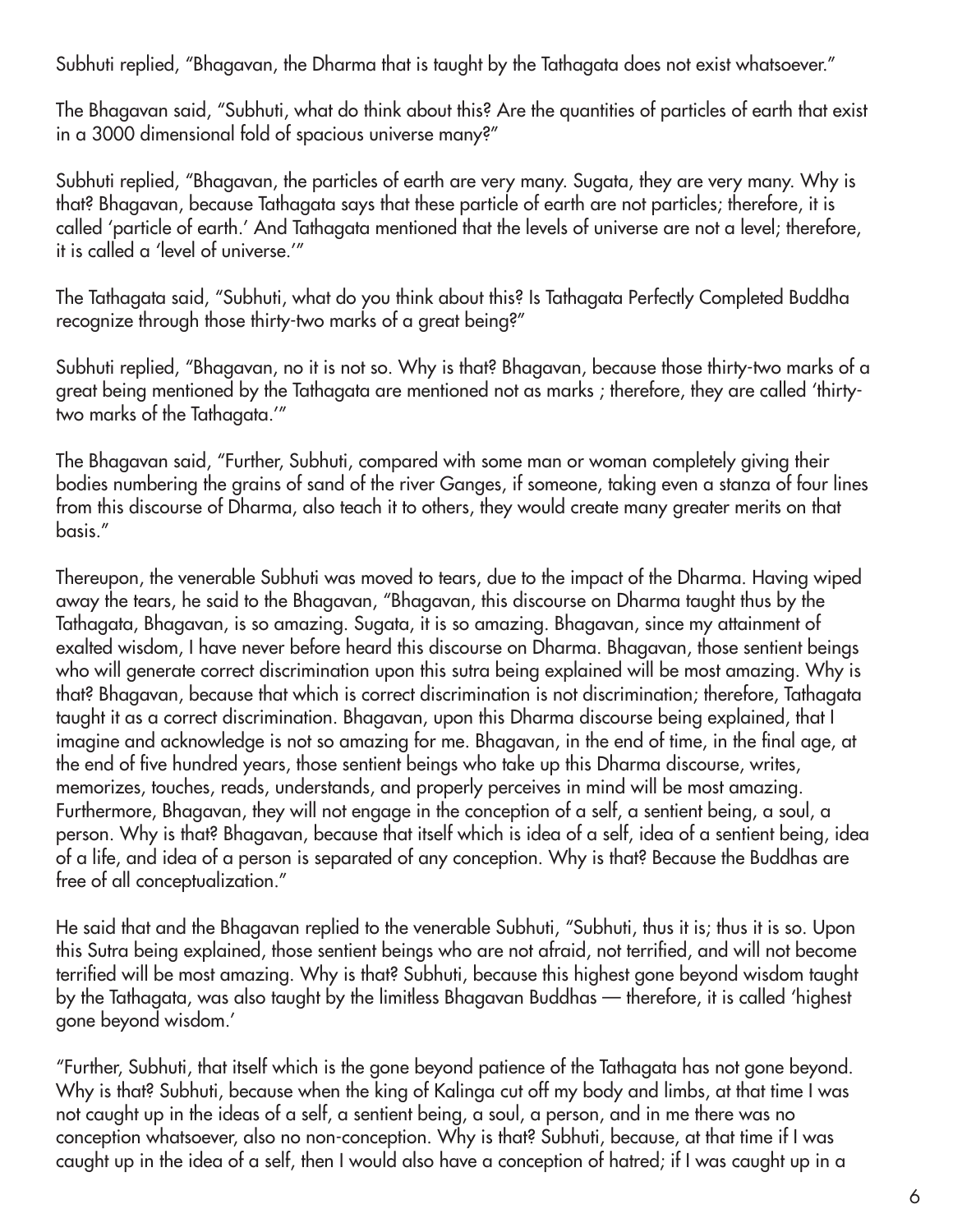Subhuti replied, "Bhagavan, the Dharma that is taught by the Tathagata does not exist whatsoever."

The Bhagavan said, "Subhuti, what do think about this? Are the quantities of particles of earth that exist in a 3000 dimensional fold of spacious universe many?"

Subhuti replied, "Bhagavan, the particles of earth are very many. Sugata, they are very many. Why is that? Bhagavan, because Tathagata says that these particle of earth are not particles; therefore, it is called 'particle of earth.' And Tathagata mentioned that the levels of universe are not a level; therefore, it is called a 'level of universe.'"

The Tathagata said, "Subhuti, what do you think about this? Is Tathagata Perfectly Completed Buddha recognize through those thirty-two marks of a great being?"

Subhuti replied, "Bhagavan, no it is not so. Why is that? Bhagavan, because those thirty-two marks of a great being mentioned by the Tathagata are mentioned not as marks ; therefore, they are called 'thirtytwo marks of the Tathagata.'"

The Bhagavan said, "Further, Subhuti, compared with some man or woman completely giving their bodies numbering the grains of sand of the river Ganges, if someone, taking even a stanza of four lines from this discourse of Dharma, also teach it to others, they would create many greater merits on that basis."

Thereupon, the venerable Subhuti was moved to tears, due to the impact of the Dharma. Having wiped away the tears, he said to the Bhagavan, "Bhagavan, this discourse on Dharma taught thus by the Tathagata, Bhagavan, is so amazing. Sugata, it is so amazing. Bhagavan, since my attainment of exalted wisdom, I have never before heard this discourse on Dharma. Bhagavan, those sentient beings who will generate correct discrimination upon this sutra being explained will be most amazing. Why is that? Bhagavan, because that which is correct discrimination is not discrimination; therefore, Tathagata taught it as a correct discrimination. Bhagavan, upon this Dharma discourse being explained, that I imagine and acknowledge is not so amazing for me. Bhagavan, in the end of time, in the final age, at the end of five hundred years, those sentient beings who take up this Dharma discourse, writes, memorizes, touches, reads, understands, and properly perceives in mind will be most amazing. Furthermore, Bhagavan, they will not engage in the conception of a self, a sentient being, a soul, a person. Why is that? Bhagavan, because that itself which is idea of a self, idea of a sentient being, idea of a life, and idea of a person is separated of any conception. Why is that? Because the Buddhas are free of all conceptualization."

He said that and the Bhagavan replied to the venerable Subhuti, "Subhuti, thus it is; thus it is so. Upon this Sutra being explained, those sentient beings who are not afraid, not terrified, and will not become terrified will be most amazing. Why is that? Subhuti, because this highest gone beyond wisdom taught by the Tathagata, was also taught by the limitless Bhagavan Buddhas — therefore, it is called 'highest gone beyond wisdom.'

"Further, Subhuti, that itself which is the gone beyond patience of the Tathagata has not gone beyond. Why is that? Subhuti, because when the king of Kalinga cut off my body and limbs, at that time I was not caught up in the ideas of a self, a sentient being, a soul, a person, and in me there was no conception whatsoever, also no non-conception. Why is that? Subhuti, because, at that time if I was caught up in the idea of a self, then I would also have a conception of hatred; if I was caught up in a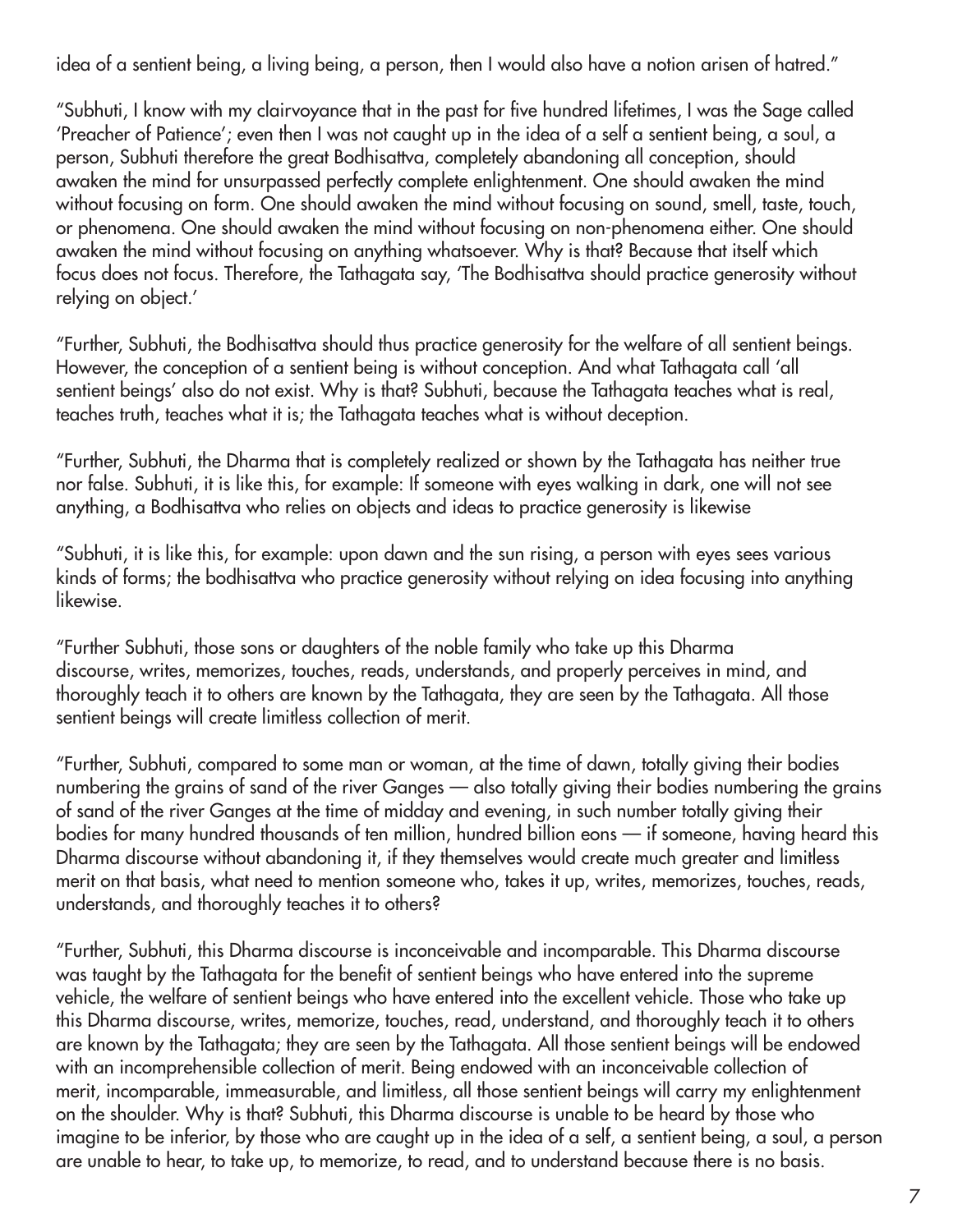idea of a sentient being, a living being, a person, then I would also have a notion arisen of hatred."

"Subhuti, I know with my clairvoyance that in the past for five hundred lifetimes, I was the Sage called 'Preacher of Patience'; even then I was not caught up in the idea of a self a sentient being, a soul, a person, Subhuti therefore the great Bodhisattva, completely abandoning all conception, should awaken the mind for unsurpassed perfectly complete enlightenment. One should awaken the mind without focusing on form. One should awaken the mind without focusing on sound, smell, taste, touch, or phenomena. One should awaken the mind without focusing on non-phenomena either. One should awaken the mind without focusing on anything whatsoever. Why is that? Because that itself which focus does not focus. Therefore, the Tathagata say, 'The Bodhisattva should practice generosity without relying on object.'

"Further, Subhuti, the Bodhisattva should thus practice generosity for the welfare of all sentient beings. However, the conception of a sentient being is without conception. And what Tathagata call 'all sentient beings' also do not exist. Why is that? Subhuti, because the Tathagata teaches what is real, teaches truth, teaches what it is; the Tathagata teaches what is without deception.

"Further, Subhuti, the Dharma that is completely realized or shown by the Tathagata has neither true nor false. Subhuti, it is like this, for example: If someone with eyes walking in dark, one will not see anything, a Bodhisattva who relies on objects and ideas to practice generosity is likewise

"Subhuti, it is like this, for example: upon dawn and the sun rising, a person with eyes sees various kinds of forms; the bodhisattva who practice generosity without relying on idea focusing into anything likewise.

"Further Subhuti, those sons or daughters of the noble family who take up this Dharma discourse, writes, memorizes, touches, reads, understands, and properly perceives in mind, and thoroughly teach it to others are known by the Tathagata, they are seen by the Tathagata. All those sentient beings will create limitless collection of merit.

"Further, Subhuti, compared to some man or woman, at the time of dawn, totally giving their bodies numbering the grains of sand of the river Ganges — also totally giving their bodies numbering the grains of sand of the river Ganges at the time of midday and evening, in such number totally giving their bodies for many hundred thousands of ten million, hundred billion eons — if someone, having heard this Dharma discourse without abandoning it, if they themselves would create much greater and limitless merit on that basis, what need to mention someone who, takes it up, writes, memorizes, touches, reads, understands, and thoroughly teaches it to others?

"Further, Subhuti, this Dharma discourse is inconceivable and incomparable. This Dharma discourse was taught by the Tathagata for the benefit of sentient beings who have entered into the supreme vehicle, the welfare of sentient beings who have entered into the excellent vehicle. Those who take up this Dharma discourse, writes, memorize, touches, read, understand, and thoroughly teach it to others are known by the Tathagata; they are seen by the Tathagata. All those sentient beings will be endowed with an incomprehensible collection of merit. Being endowed with an inconceivable collection of merit, incomparable, immeasurable, and limitless, all those sentient beings will carry my enlightenment on the shoulder. Why is that? Subhuti, this Dharma discourse is unable to be heard by those who imagine to be inferior, by those who are caught up in the idea of a self, a sentient being, a soul, a person are unable to hear, to take up, to memorize, to read, and to understand because there is no basis.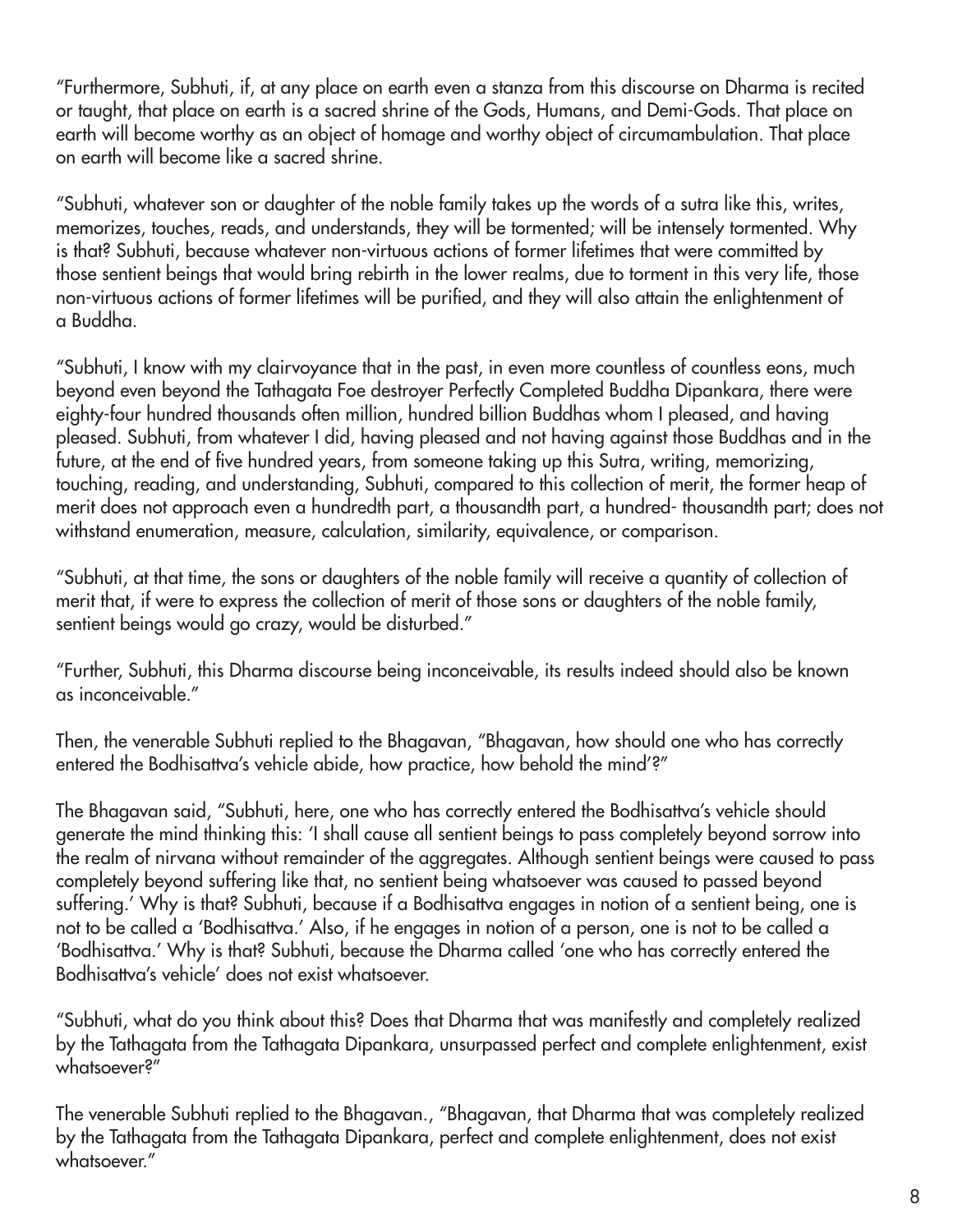"Furthermore, Subhuti, if, at any place on earth even a stanza from this discourse on Dharma is recited or taught, that place on earth is a sacred shrine of the Gods, Humans, and Demi-Gods. That place on earth will become worthy as an object of homage and worthy object of circumambulation. That place on earth will become like a sacred shrine.

"Subhuti, whatever son or daughter of the noble family takes up the words of a sutra like this, writes, memorizes, touches, reads, and understands, they will be tormented; will be intensely tormented. Why is that? Subhuti, because whatever non-virtuous actions of former lifetimes that were committed by those sentient beings that would bring rebirth in the lower realms, due to torment in this very life, those non-virtuous actions of former lifetimes will be purified, and they will also attain the enlightenment of a Buddha.

"Subhuti, I know with my clairvoyance that in the past, in even more countless of countless eons, much beyond even beyond the Tathagata Foe destroyer Perfectly Completed Buddha Dipankara, there were eighty-four hundred thousands often million, hundred billion Buddhas whom I pleased, and having pleased. Subhuti, from whatever I did, having pleased and not having against those Buddhas and in the future, at the end of five hundred years, from someone taking up this Sutra, writing, memorizing, touching, reading, and understanding, Subhuti, compared to this collection of merit, the former heap of merit does not approach even a hundredth part, a thousandth part, a hundred- thousandth part; does not withstand enumeration, measure, calculation, similarity, equivalence, or comparison.

"Subhuti, at that time, the sons or daughters of the noble family will receive a quantity of collection of merit that, if were to express the collection of merit of those sons or daughters of the noble family, sentient beings would go crazy, would be disturbed."

"Further, Subhuti, this Dharma discourse being inconceivable, its results indeed should also be known as inconceivable."

Then, the venerable Subhuti replied to the Bhagavan, "Bhagavan, how should one who has correctly entered the Bodhisattva's vehicle abide, how practice, how behold the mind'?"

The Bhagavan said, "Subhuti, here, one who has correctly entered the Bodhisattva's vehicle should generate the mind thinking this: 'I shall cause all sentient beings to pass completely beyond sorrow into the realm of nirvana without remainder of the aggregates. Although sentient beings were caused to pass completely beyond suffering like that, no sentient being whatsoever was caused to passed beyond suffering.' Why is that? Subhuti, because if a Bodhisattva engages in notion of a sentient being, one is not to be called a 'Bodhisattva.' Also, if he engages in notion of a person, one is not to be called a 'Bodhisattva.' Why is that? Subhuti, because the Dharma called 'one who has correctly entered the Bodhisattva's vehicle' does not exist whatsoever.

"Subhuti, what do you think about this? Does that Dharma that was manifestly and completely realized by the Tathagata from the Tathagata Dipankara, unsurpassed perfect and complete enlightenment, exist whatsoever?"

The venerable Subhuti replied to the Bhagavan., "Bhagavan, that Dharma that was completely realized by the Tathagata from the Tathagata Dipankara, perfect and complete enlightenment, does not exist whatsoever."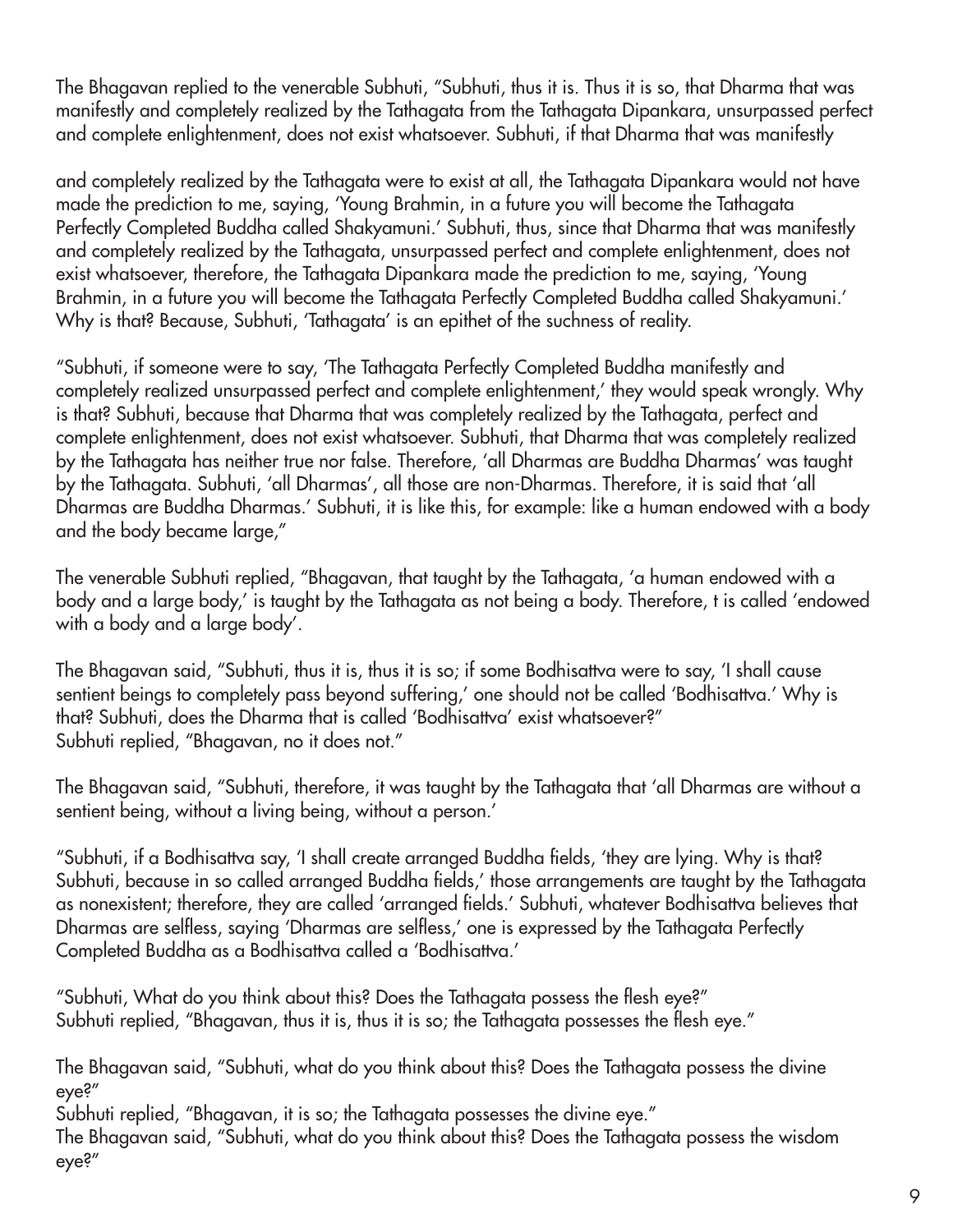The Bhagavan replied to the venerable Subhuti, "Subhuti, thus it is. Thus it is so, that Dharma that was manifestly and completely realized by the Tathagata from the Tathagata Dipankara, unsurpassed perfect and complete enlightenment, does not exist whatsoever. Subhuti, if that Dharma that was manifestly

and completely realized by the Tathagata were to exist at all, the Tathagata Dipankara would not have made the prediction to me, saying, 'Young Brahmin, in a future you will become the Tathagata Perfectly Completed Buddha called Shakyamuni.' Subhuti, thus, since that Dharma that was manifestly and completely realized by the Tathagata, unsurpassed perfect and complete enlightenment, does not exist whatsoever, therefore, the Tathagata Dipankara made the prediction to me, saying, 'Young Brahmin, in a future you will become the Tathagata Perfectly Completed Buddha called Shakyamuni.' Why is that? Because, Subhuti, 'Tathagata' is an epithet of the suchness of reality.

"Subhuti, if someone were to say, 'The Tathagata Perfectly Completed Buddha manifestly and completely realized unsurpassed perfect and complete enlightenment,' they would speak wrongly. Why is that? Subhuti, because that Dharma that was completely realized by the Tathagata, perfect and complete enlightenment, does not exist whatsoever. Subhuti, that Dharma that was completely realized by the Tathagata has neither true nor false. Therefore, 'all Dharmas are Buddha Dharmas' was taught by the Tathagata. Subhuti, 'all Dharmas', all those are non-Dharmas. Therefore, it is said that 'all Dharmas are Buddha Dharmas.' Subhuti, it is like this, for example: like a human endowed with a body and the body became large,"

The venerable Subhuti replied, "Bhagavan, that taught by the Tathagata, 'a human endowed with a body and a large body,' is taught by the Tathagata as not being a body. Therefore, t is called 'endowed with a body and a large body'.

The Bhagavan said, "Subhuti, thus it is, thus it is so; if some Bodhisattva were to say, 'I shall cause sentient beings to completely pass beyond suffering,' one should not be called 'Bodhisattva.' Why is that? Subhuti, does the Dharma that is called 'Bodhisattva' exist whatsoever?" Subhuti replied, "Bhagavan, no it does not."

The Bhagavan said, "Subhuti, therefore, it was taught by the Tathagata that 'all Dharmas are without a sentient being, without a living being, without a person.'

"Subhuti, if a Bodhisattva say, 'I shall create arranged Buddha fields, 'they are lying. Why is that? Subhuti, because in so called arranged Buddha fields,' those arrangements are taught by the Tathagata as nonexistent; therefore, they are called 'arranged fields.' Subhuti, whatever Bodhisattva believes that Dharmas are selfless, saying 'Dharmas are selfless,' one is expressed by the Tathagata Perfectly Completed Buddha as a Bodhisattva called a 'Bodhisattva.'

"Subhuti, What do you think about this? Does the Tathagata possess the flesh eye?" Subhuti replied, "Bhagavan, thus it is, thus it is so; the Tathagata possesses the flesh eye."

The Bhagavan said, "Subhuti, what do you think about this? Does the Tathagata possess the divine eye?"

Subhuti replied, "Bhagavan, it is so; the Tathagata possesses the divine eye."

The Bhagavan said, "Subhuti, what do you think about this? Does the Tathagata possess the wisdom eye?"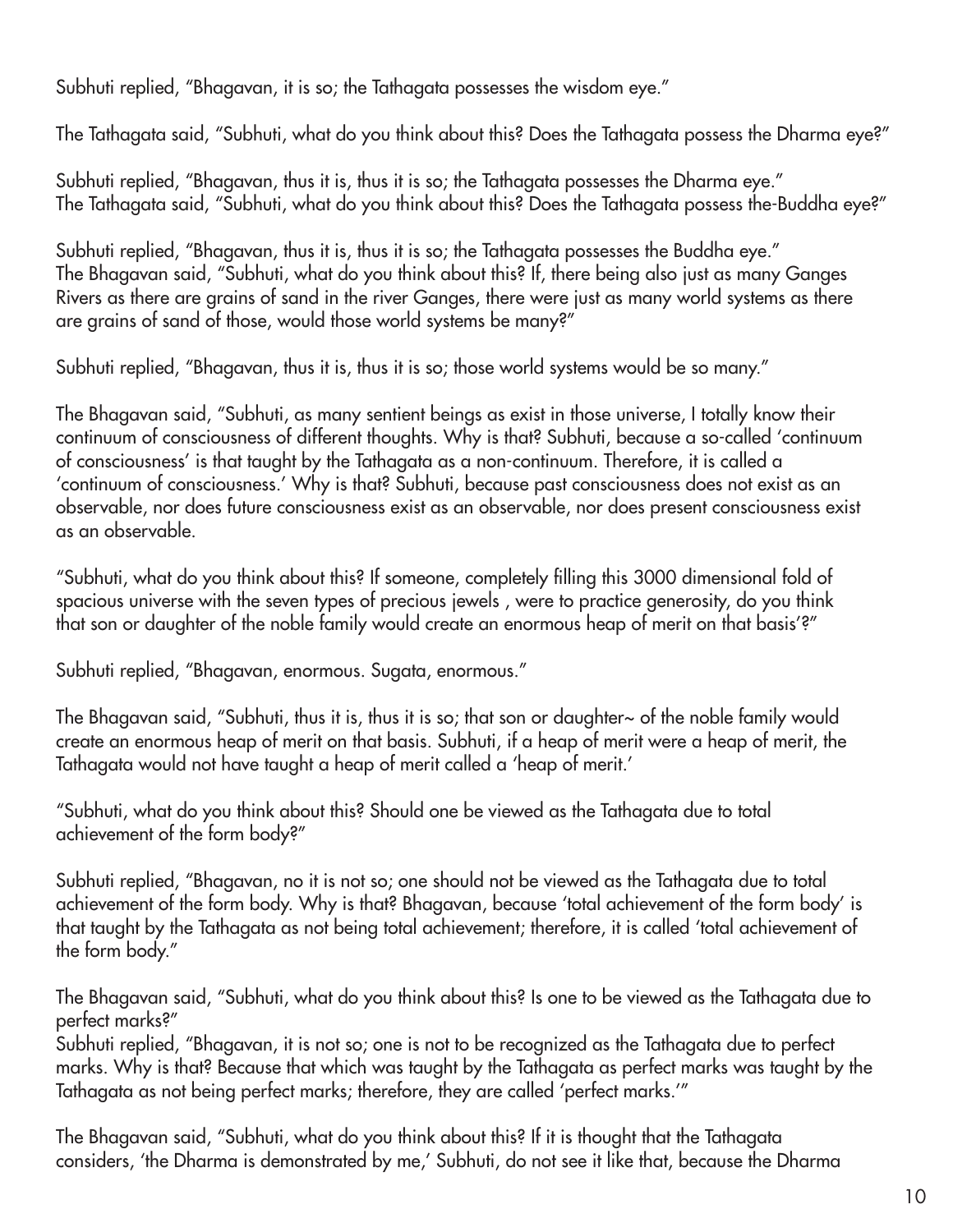Subhuti replied, "Bhagavan, it is so; the Tathagata possesses the wisdom eye."

The Tathagata said, "Subhuti, what do you think about this? Does the Tathagata possess the Dharma eye?"

Subhuti replied, "Bhagavan, thus it is, thus it is so; the Tathagata possesses the Dharma eye." The Tathagata said, "Subhuti, what do you think about this? Does the Tathagata possess the-Buddha eye?"

Subhuti replied, "Bhagavan, thus it is, thus it is so; the Tathagata possesses the Buddha eye." The Bhagavan said, "Subhuti, what do you think about this? If, there being also just as many Ganges Rivers as there are grains of sand in the river Ganges, there were just as many world systems as there are grains of sand of those, would those world systems be many?"

Subhuti replied, "Bhagavan, thus it is, thus it is so; those world systems would be so many."

The Bhagavan said, "Subhuti, as many sentient beings as exist in those universe, I totally know their continuum of consciousness of different thoughts. Why is that? Subhuti, because a so-called 'continuum of consciousness' is that taught by the Tathagata as a non-continuum. Therefore, it is called a 'continuum of consciousness.' Why is that? Subhuti, because past consciousness does not exist as an observable, nor does future consciousness exist as an observable, nor does present consciousness exist as an observable.

"Subhuti, what do you think about this? If someone, completely filling this 3000 dimensional fold of spacious universe with the seven types of precious jewels , were to practice generosity, do you think that son or daughter of the noble family would create an enormous heap of merit on that basis'?"

Subhuti replied, "Bhagavan, enormous. Sugata, enormous."

The Bhagavan said, "Subhuti, thus it is, thus it is so; that son or daughter~ of the noble family would create an enormous heap of merit on that basis. Subhuti, if a heap of merit were a heap of merit, the Tathagata would not have taught a heap of merit called a 'heap of merit.'

"Subhuti, what do you think about this? Should one be viewed as the Tathagata due to total achievement of the form body?"

Subhuti replied, "Bhagavan, no it is not so; one should not be viewed as the Tathagata due to total achievement of the form body. Why is that? Bhagavan, because 'total achievement of the form body' is that taught by the Tathagata as not being total achievement; therefore, it is called 'total achievement of the form body."

The Bhagavan said, "Subhuti, what do you think about this? Is one to be viewed as the Tathagata due to perfect marks?"

Subhuti replied, "Bhagavan, it is not so; one is not to be recognized as the Tathagata due to perfect marks. Why is that? Because that which was taught by the Tathagata as perfect marks was taught by the Tathagata as not being perfect marks; therefore, they are called 'perfect marks.'"

The Bhagavan said, "Subhuti, what do you think about this? If it is thought that the Tathagata considers, 'the Dharma is demonstrated by me,' Subhuti, do not see it like that, because the Dharma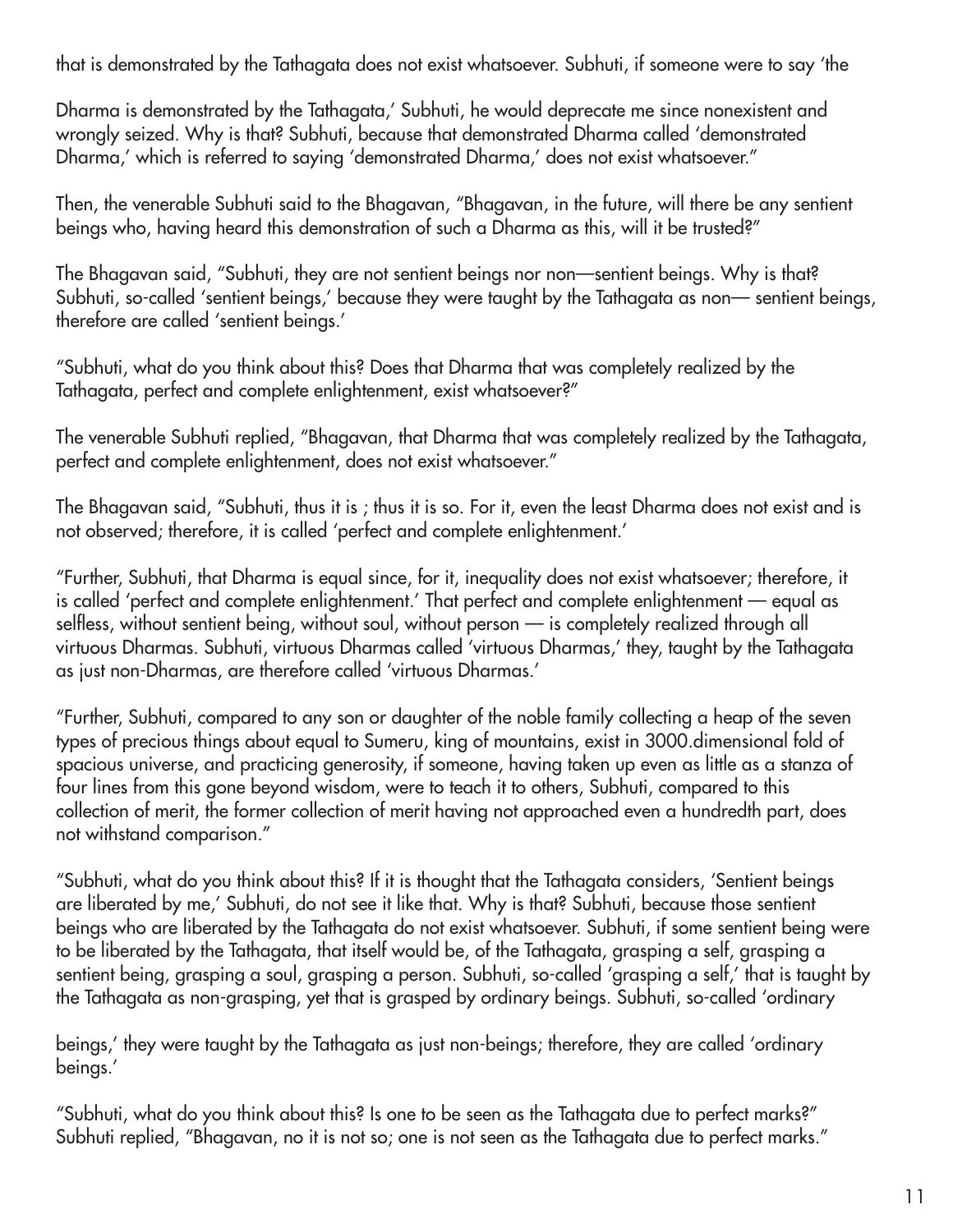that is demonstrated by the Tathagata does not exist whatsoever. Subhuti, if someone were to say 'the

Dharma is demonstrated by the Tathagata,' Subhuti, he would deprecate me since nonexistent and wrongly seized. Why is that? Subhuti, because that demonstrated Dharma called 'demonstrated Dharma,' which is referred to saying 'demonstrated Dharma,' does not exist whatsoever."

Then, the venerable Subhuti said to the Bhagavan, "Bhagavan, in the future, will there be any sentient beings who, having heard this demonstration of such a Dharma as this, will it be trusted?"

The Bhagavan said, "Subhuti, they are not sentient beings nor non—sentient beings. Why is that? Subhuti, so-called 'sentient beings,' because they were taught by the Tathagata as non— sentient beings, therefore are called 'sentient beings.'

"Subhuti, what do you think about this? Does that Dharma that was completely realized by the Tathagata, perfect and complete enlightenment, exist whatsoever?"

The venerable Subhuti replied, "Bhagavan, that Dharma that was completely realized by the Tathagata, perfect and complete enlightenment, does not exist whatsoever."

The Bhagavan said, "Subhuti, thus it is ; thus it is so. For it, even the least Dharma does not exist and is not observed; therefore, it is called 'perfect and complete enlightenment.'

"Further, Subhuti, that Dharma is equal since, for it, inequality does not exist whatsoever; therefore, it is called 'perfect and complete enlightenment.' That perfect and complete enlightenment — equal as selfless, without sentient being, without soul, without person — is completely realized through all virtuous Dharmas. Subhuti, virtuous Dharmas called 'virtuous Dharmas,' they, taught by the Tathagata as just non-Dharmas, are therefore called 'virtuous Dharmas.'

"Further, Subhuti, compared to any son or daughter of the noble family collecting a heap of the seven types of precious things about equal to Sumeru, king of mountains, exist in 3000.dimensional fold of spacious universe, and practicing generosity, if someone, having taken up even as little as a stanza of four lines from this gone beyond wisdom, were to teach it to others, Subhuti, compared to this collection of merit, the former collection of merit having not approached even a hundredth part, does not withstand comparison."

"Subhuti, what do you think about this? If it is thought that the Tathagata considers, 'Sentient beings are liberated by me,' Subhuti, do not see it like that. Why is that? Subhuti, because those sentient beings who are liberated by the Tathagata do not exist whatsoever. Subhuti, if some sentient being were to be liberated by the Tathagata, that itself would be, of the Tathagata, grasping a self, grasping a sentient being, grasping a soul, grasping a person. Subhuti, so-called 'grasping a self,' that is taught by the Tathagata as non-grasping, yet that is grasped by ordinary beings. Subhuti, so-called 'ordinary

beings,' they were taught by the Tathagata as just non-beings; therefore, they are called 'ordinary beings.'

"Subhuti, what do you think about this? Is one to be seen as the Tathagata due to perfect marks?" Subhuti replied, "Bhagavan, no it is not so; one is not seen as the Tathagata due to perfect marks."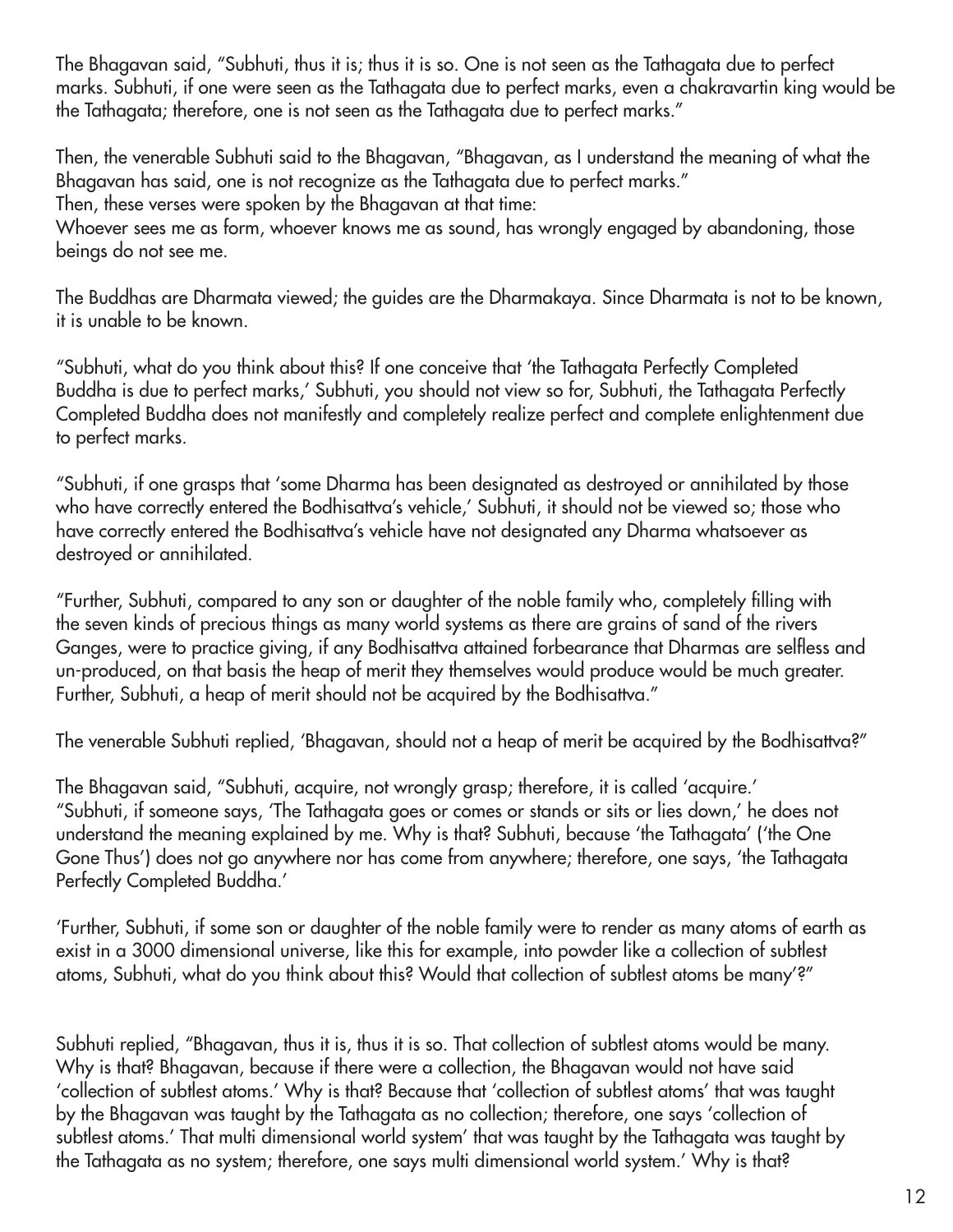The Bhagavan said, "Subhuti, thus it is; thus it is so. One is not seen as the Tathagata due to perfect marks. Subhuti, if one were seen as the Tathagata due to perfect marks, even a chakravartin king would be the Tathagata; therefore, one is not seen as the Tathagata due to perfect marks."

Then, the venerable Subhuti said to the Bhagavan, "Bhagavan, as I understand the meaning of what the Bhagavan has said, one is not recognize as the Tathagata due to perfect marks." Then, these verses were spoken by the Bhagavan at that time:

Whoever sees me as form, whoever knows me as sound, has wrongly engaged by abandoning, those beings do not see me.

The Buddhas are Dharmata viewed; the guides are the Dharmakaya. Since Dharmata is not to be known, it is unable to be known.

"Subhuti, what do you think about this? If one conceive that 'the Tathagata Perfectly Completed Buddha is due to perfect marks,' Subhuti, you should not view so for, Subhuti, the Tathagata Perfectly Completed Buddha does not manifestly and completely realize perfect and complete enlightenment due to perfect marks.

"Subhuti, if one grasps that 'some Dharma has been designated as destroyed or annihilated by those who have correctly entered the Bodhisattva's vehicle,' Subhuti, it should not be viewed so; those who have correctly entered the Bodhisattva's vehicle have not designated any Dharma whatsoever as destroyed or annihilated.

"Further, Subhuti, compared to any son or daughter of the noble family who, completely filling with the seven kinds of precious things as many world systems as there are grains of sand of the rivers Ganges, were to practice giving, if any Bodhisattva attained forbearance that Dharmas are selfless and un-produced, on that basis the heap of merit they themselves would produce would be much greater. Further, Subhuti, a heap of merit should not be acquired by the Bodhisattva."

The venerable Subhuti replied, 'Bhagavan, should not a heap of merit be acquired by the Bodhisattva?"

The Bhagavan said, "Subhuti, acquire, not wrongly grasp; therefore, it is called 'acquire.' "Subhuti, if someone says, 'The Tathagata goes or comes or stands or sits or lies down,' he does not understand the meaning explained by me. Why is that? Subhuti, because 'the Tathagata' ('the One Gone Thus') does not go anywhere nor has come from anywhere; therefore, one says, 'the Tathagata Perfectly Completed Buddha.'

'Further, Subhuti, if some son or daughter of the noble family were to render as many atoms of earth as exist in a 3000 dimensional universe, like this for example, into powder like a collection of subtlest atoms, Subhuti, what do you think about this? Would that collection of subtlest atoms be many'?"

Subhuti replied, "Bhagavan, thus it is, thus it is so. That collection of subtlest atoms would be many. Why is that? Bhagavan, because if there were a collection, the Bhagavan would not have said 'collection of subtlest atoms.' Why is that? Because that 'collection of subtlest atoms' that was taught by the Bhagavan was taught by the Tathagata as no collection; therefore, one says 'collection of subtlest atoms.' That multi dimensional world system' that was taught by the Tathagata was taught by the Tathagata as no system; therefore, one says multi dimensional world system.' Why is that?